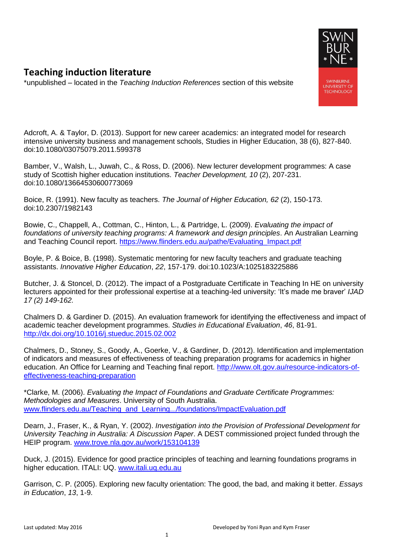

## **Teaching induction literature**

\*unpublished – located in the *Teaching Induction References* section of this website

Adcroft, A. & Taylor, D. (2013). Support for new career academics: an integrated model for research intensive university business and management schools, Studies in Higher Education, 38 (6), 827-840. doi:10.1080/03075079.2011.599378

Bamber, V., Walsh, L., Juwah, C., & Ross, D. (2006). New lecturer development programmes: A case study of Scottish higher education institutions. *Teacher Development, 10* (2), 207-231. doi:10.1080/13664530600773069

Boice, R. (1991). New faculty as teachers. *The Journal of Higher Education, 62* (2), 150-173. doi:10.2307/1982143

Bowie, C., Chappell, A., Cottman, C., Hinton, L., & Partridge, L. (2009). *Evaluating the impact of foundations of university teaching programs: A framework and design principles*. An Australian Learning and Teaching Council report. https://www.flinders.edu.au/pathe/Evaluating Impact.pdf

Boyle, P. & Boice, B. (1998). Systematic mentoring for new faculty teachers and graduate teaching assistants. *Innovative Higher Education*, *22*, 157-179. doi:10.1023/A:1025183225886

Butcher, J. & Stoncel, D. (2012). The impact of a Postgraduate Certificate in Teaching In HE on university lecturers appointed for their professional expertise at a teaching-led university: 'It's made me braver' *IJAD 17 (2) 149-162.*

Chalmers D. & Gardiner D. (2015). An evaluation framework for identifying the effectiveness and impact of academic teacher development programmes. *Studies in Educational Evaluation*, *46*, 81-91. <http://dx.doi.org/10.1016/j.stueduc.2015.02.002>

Chalmers, D., Stoney, S., Goody, A., Goerke, V., & Gardiner, D. (2012). Identification and implementation of indicators and measures of effectiveness of teaching preparation programs for academics in higher education. An Office for Learning and Teaching final report. [http://www.olt.gov.au/resource-indicators-of](http://www.olt.gov.au/resource-indicators-of-effectiveness-teaching-preparation)[effectiveness-teaching-preparation](http://www.olt.gov.au/resource-indicators-of-effectiveness-teaching-preparation)

\*Clarke, M. (2006). *Evaluating the Impact of Foundations and Graduate Certificate Programmes: Methodologies and Measures*. University of South Australia. [www.flinders.edu.au/Teaching\\_and\\_Learning.../foundations/ImpactEvaluation.pdf](http://www.flinders.edu.au/Teaching_and_Learning.../foundations/ImpactEvaluation.pdf)

Dearn, J., Fraser, K., & Ryan, Y. (2002). *Investigation into the Provision of Professional Development for University Teaching in Australia: A Discussion Paper*. A DEST commissioned project funded through the HEIP program. [www.trove.nla.gov.au/work/153104139](http://www.trove.nla.gov.au/work/153104139)

Duck, J. (2015). Evidence for good practice principles of teaching and learning foundations programs in higher education. ITALI: UQ. [www.itali.uq.edu.au](http://www.itali.uq.edu.au/)

Garrison, C. P. (2005). Exploring new faculty orientation: The good, the bad, and making it better. *Essays in Education*, *13*, 1-9.